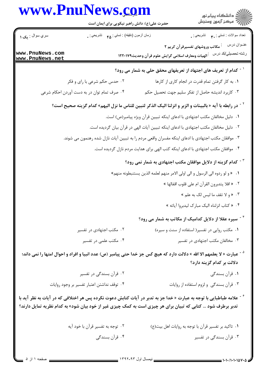|                                    | حضرت علی(ع): دانش راهبر نیکویی برای ایمان است                                                      |                                                    | د<br>دانشگاه پيام نور<br>√ مرکز آزمون وسنجش                                                                                         |
|------------------------------------|----------------------------------------------------------------------------------------------------|----------------------------------------------------|-------------------------------------------------------------------------------------------------------------------------------------|
| سري سوال : ي <b>ک ۱</b>            | زمان أزمون (دقيقه) : تستي : ۴۵ ٪ تشريحي : .                                                        |                                                    | تعداد سوالات : تستي : پم       تشريحي : ¸                                                                                           |
| www.PnuNews.com<br>www.PnuNews.net |                                                                                                    | أالهيات ومعارف اسلامي گرايش علوم قرآن وحديث١٢٢٠١٧٩ | عنــوان درس<br><sup>:</sup> مکاتب وروشهای تفسیرقرآن کریم ۲<br>رشته تحصيلي/كد درس                                                    |
|                                    |                                                                                                    |                                                    | <sup>۱ -</sup> کدام از تعریف های اجتهاد از تعریفهای محقق حلی به شمار می رود؟                                                        |
|                                    | ۰۲ حدس حکم شرعی با رای و فکر                                                                       |                                                    | ٠١. به كار گرفتن تمام قدرت در انجام كارى از كارها                                                                                   |
|                                    | ۰۴ صرف تمام توان در به دست آوردن احکام شرعی                                                        |                                                    | ۰۳ کاربرد اندیشه حاصل از تفکر سلیم جهت تحصیل حکم                                                                                    |
|                                    |                                                                                                    |                                                    | <sup>٢ -</sup> در رابطه با آيه « بالبينات و الزبر و انزلنا اليک الذکر لتبين للناس ما نزل اليهم» کدام گزينه صحيح است؟                |
|                                    |                                                                                                    |                                                    | ٠١. دليل مخالفان مكتب اجتهادي با ادعاى اينكه تبيين قرآن ويژه پيامبر(ص) است.                                                         |
|                                    |                                                                                                    |                                                    | ۰۲ دلیل مخالفان مکتب اجتهادی با ادعای اینکه تبیین آیات الهی در قرآن بیان گردیده است.                                                |
|                                    | ۰۳ موافقان مکتب اجتهادی با ادعای اینکه مفسران واقعی مردم را به تبیین آیات نازل شده رهنمون می شوند. |                                                    |                                                                                                                                     |
|                                    |                                                                                                    |                                                    | ۰۴ موافقان مکتب اجتهادی با ادعای اینکه کتب الهی برای هدایت مردم نازل گردیده است.                                                    |
|                                    |                                                                                                    |                                                    | د کدام گزینه از دلایل موافقان مکتب اجتهادی به شمار نمی رود؟ "                                                                       |
|                                    |                                                                                                    |                                                    | ٠١   « و لو ردوه الى الرسول و الى اولى الامر منهم لعلمه الذين يستنبطونه منهم»                                                       |
|                                    |                                                                                                    |                                                    | ۰۲ « افلا يتدبرون القرآن ام على قلوب اقفالها »                                                                                      |
|                                    |                                                                                                    |                                                    | ۰۳ « و لا تقف ما ليس لک به علم »                                                                                                    |
|                                    |                                                                                                    |                                                    | ۰۴ « کتاب انزلناه الیک مبارک لیدبروا آیاته »                                                                                        |
|                                    |                                                                                                    |                                                    | <sup>۴ -</sup> سیره عقلا از دلایل کدامیک از مکاتب به شمار می رود؟                                                                   |
|                                    | ۰۲ مکتب اجتهادی در تفسیر                                                                           |                                                    | ٠١ مكتب روايي در تفسير( استفاده از سنت و سيره)                                                                                      |
|                                    | ۰۴ مکتب علمی در تفسیر                                                                              |                                                    | ۰۳ مخالفان مكتب اجتهادى در تفسير                                                                                                    |
|                                    |                                                                                                    |                                                    | <sup>۵ -</sup> عبارت « لا يعلمهم الا الله » دلالت دارد که هيچ کس جز خدا حتى پيامبر (ص) عدد انبيا و افراد و احوال امتها را نمى داند؛ |
|                                    |                                                                                                    |                                                    | دلالت بر کدام گزینه دارد؟                                                                                                           |
|                                    | ۰۲ قرآن بسندگی در تفسیر                                                                            |                                                    | ۰۱ قرآن بسندگی                                                                                                                      |
|                                    | ۰۴ توقف نداشتن اعتبار تفسير بر وجود روايات                                                         |                                                    | ۰۳ قرآن بسندگی و لزوم استفاده از روایات                                                                                             |

۰۱ تاکید بر تفسیر قرآن با توجه به روایات اهل بیت(ع) مسلم ۲۰ توجه به تفسیر قرآن با خود آیه ۴ . قرآن بسندگی ۰۳ قرآن بسندگی در تفسیر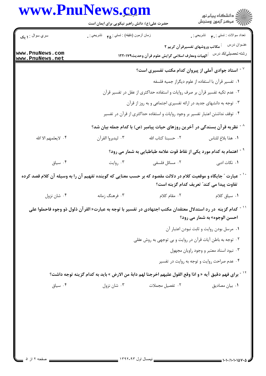## www.PnuNews.com

| www.PnuNews.com                    | حضرت علی(ع): دانش راهبر نیکویی برای ایمان است                                                                                          |                                                                                                  | د دانشگاه پيام نور<br>√ مرکز آزمون وسنجش           |
|------------------------------------|----------------------------------------------------------------------------------------------------------------------------------------|--------------------------------------------------------------------------------------------------|----------------------------------------------------|
| سري سوال : ۱ يک                    | زمان أزمون (دقيقه) : تستى : ۴۵ ٪ تشريحي : .                                                                                            |                                                                                                  | تعداد سوالات : تستي : پم       تشريحي : .          |
| www.PnuNews.com<br>www.PnuNews.net |                                                                                                                                        | مکاتب وروشهای تفسیرقرآن کریم ۲<br><sup>.</sup> الهيات ومعارف اسلامي گرايش علوم قرآن وحديث١٢٢٠١٧٩ | عنــوان درس<br>رشته تحصيلي/كد درس                  |
|                                    |                                                                                                                                        | استاد جوادی آملی از پیروان کدام مکتب تفسیری است؟ $^{\circ}$                                      |                                                    |
|                                    |                                                                                                                                        |                                                                                                  | ٠١ تفسير قرآن با استفاده از علوم ديگراز جميه فلسفه |
|                                    |                                                                                                                                        | ۰۲ عدم تکیه تفسیر قرآن بر صرف روایات و استفاده حداکثری از عقل در تفسیر قرآن                      |                                                    |
|                                    |                                                                                                                                        | ۰۳ توجه به دانشهای جدید در ارائه تفسیری اجتماعی و به روز از قرآن                                 |                                                    |
|                                    |                                                                                                                                        | ۰۴ توقف نداشتن اعتبار تفسیر بر وجود روایات و استفاده حداکثری از قرآن در تفسیر                    |                                                    |
|                                    |                                                                                                                                        | <sup>^ -</sup> نظریه قرآن بسندگی در آخرین روزهای حیات پیامبر (ص) با کدام جمله بیان شد؟           |                                                    |
| ۴. لايعلمهم الا الله               | ٠٣ ليدبروا القرآن                                                                                                                      | ٠٢ حسبنا كتاب الله                                                                               | ٠١. هذا بلاغ للناس                                 |
|                                    |                                                                                                                                        | <sup>۹ -</sup> اهتمام به کدام مورد یکی از نقاط قوت علامه طباطبایی به شمار می رود؟                |                                                    |
| ۰۴ سیاق                            | ۰۳ روايت                                                                                                                               | ۰۲ مسائل فلسفی                                                                                   | ۰۱ نکات ادبی                                       |
|                                    | <sup>۱</sup> <sup>-</sup> عبارت ″ جایگاه و موقعیت کلام در دلالت مقصود که بر حسب معنایی که گوینده تفهیم آن را به وسیله آن کلام قصد کرده |                                                                                                  | تفاوت پیدا می کند″ تعریف کدام گزینه است؟           |
| ۰۴ شان نزول                        | ۰۳ فرهنگ زمانه                                                                                                                         | ٢. مقام كلام                                                                                     | ٠١ سياق كلام                                       |
|                                    | کدام گزینه  در رد استدلال معتقدان مکتب اجتهادی در تفسیر با توجه به عبارت« القرآن ذلول ذو وجوه فاحملوا علی                              |                                                                                                  | احسن الوجوه» به شمار مي رود؟                       |
|                                    |                                                                                                                                        |                                                                                                  | ٠١ مرسل بودن روايت و ثابت نبودن اعتبار آن          |
|                                    |                                                                                                                                        | ۰۲ توجه به باطن آیات قرآن در روایت و بی توجهی به روش عقلی                                        |                                                    |
|                                    |                                                                                                                                        |                                                                                                  | ۰۳ نبود اسناد معتبر و وجود راويان مجهول            |
|                                    |                                                                                                                                        |                                                                                                  | ۰۴ عدم صراحت روایت و توجه به روایت در تفسیر        |
|                                    |                                                                                                                                        |                                                                                                  |                                                    |
|                                    | <sup>١٢ -</sup> براى فهم دقيق آيه « و اذا وقع القول عليهم اخرجنا لهم دابهٔ من الارض » بايد به كدام گزينه توجه داشت؟                    |                                                                                                  |                                                    |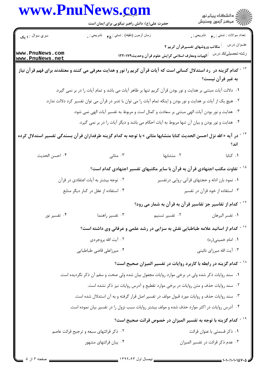|                                    | www.PnuNews.com<br>حضرت علی(ع): دانش راهبر نیکویی برای ایمان است                                                                  |                                                                                      | ڪ دانشڪاه پيام نور<br>پ <sup>ر</sup> مرڪز آزمون وسنڊش |
|------------------------------------|-----------------------------------------------------------------------------------------------------------------------------------|--------------------------------------------------------------------------------------|-------------------------------------------------------|
| سري سوال : ۱ يک                    | زمان أزمون (دقيقه) : تستى : ۴۵     تشريحي : .                                                                                     |                                                                                      | تعداد سوالات : تستي : ٣ <b>. س</b> تشريحي : .         |
| www.PnuNews.com<br>www.PnuNews.net |                                                                                                                                   | مکاتب وروشهای تفسیرقرآن کریم ۲<br>الهيات ومعارف اسلامي گرايش علوم قرآن وحديث١٢٢٠١٧٩  | عنــوان درس<br>رشته تحصيلي/كد درس                     |
|                                    | <sup>۱۳ -</sup> کدام گزینه در رد استدلال کسانی است که آیات قرآن کریم را نور و هدایت معرفی می کنند و معتقدند برای فهم قرآن نیاز    |                                                                                      | به غیر قرآن نیست؟                                     |
|                                    | ۰۱ دلالت آیات مبتنی بر هدایت و نور بودن قرآن کریم تنها بر ظاهر آیات می باشد و تمام آیات را در بر نمی گیرد.                        |                                                                                      |                                                       |
|                                    | ۰۲ هیچ یک از آیات بر هدایت و نور بودن و اینکه تمام آیات را می توان با تدبر در قرآن می توان تفسیر کرد دلالت ندارد.                 |                                                                                      |                                                       |
|                                    | ۰۳ هدایت و نور بودن آیات الهی مبتنی بر سعادت و کمال است و مربوط به تفسیر آیات الهی نمی شود.                                       |                                                                                      |                                                       |
|                                    | ۰۴ هدایت و نور بودن و بیان آن تنها مربوط به آیات احکام می باشد و دیگر آیات را در بر نمی گیرد.                                     |                                                                                      |                                                       |
|                                    | <sup>۱۴ -</sup> در آیه « الله نزل احسن الحدیث کتابا متشابها مثانی » با توجه به کدام گزینه طرفداران قرآن بسندگی تفسیر استدلال کرده |                                                                                      | اند؟                                                  |
| ۰۴ احسن الحديث                     | ۰۳ مثانی                                                                                                                          | ۰۲ متشابها                                                                           | ٠١ كتابا                                              |
|                                    |                                                                                                                                   | <sup>.</sup> تفاوت مکتب اجتهادی قرآن به قرآن با سایر مکتبهای تفسیر اجتهادی کدام است؟ |                                                       |
|                                    | ۰۲ توجه بیشتر به آیات اعتقادی در قرآن                                                                                             |                                                                                      | ۰۱ نمود بارز ادله و حجتهای قرآنی-روایی درتفسیر        |
|                                    | ۰۴ استفاده از عقل در کنار دیگر منابع                                                                                              |                                                                                      | ۰۳ استفاده از خود قرآن در تفسیر                       |
|                                    |                                                                                                                                   | <sup>۱۶ -</sup> کدام از تفاسیر جز تفاسیر قرآن به قرآن به شمار می رود؟                |                                                       |
| ۰۴ تفسیر نور                       | ۰۳ تفسیر راهنما                                                                                                                   | ۰۲ تفسیر تسنیم                                                                       | ٠١ تفسر البرهان                                       |
|                                    | <sup>۱۷ -</sup> کدام از اساتید علامه طباطبایی نقش به سزایی در رشد علمی و عرفانی وی داشته است؟                                     |                                                                                      |                                                       |
|                                    | ۰۲ آيت الله بروجردي                                                                                                               |                                                                                      | ٠١. امام خميني(ره)                                    |
|                                    | ۰۴ میرزاعلی قاضی طباطبایی                                                                                                         |                                                                                      | ۰۳ آیت الله میرزای نائینی                             |
|                                    |                                                                                                                                   | <sup>۱۸ -</sup> کدام گزینه در رابطه با کاربرد روایات در تفسیر المیزان صحیح است؟      |                                                       |
|                                    | ۰۱ سند روایات ذکر شده ولی در برخی موارد روایات مجعول بیان شده ولی صحت و سقم آن ذکر نگردیده است.                                   |                                                                                      |                                                       |
|                                    |                                                                                                                                   | ۰۲ سند روایات حذف و متن روایات در برخی موارد تقطیع و آدرس روایات نیز ذکر نشده است.   |                                                       |
|                                    | ۰۳ سند روایات حذف و روایات مورد قبول مولف در تفسیر اصل قرار گرفته و به آن استدلال شده است.                                        |                                                                                      |                                                       |
|                                    | ۰۴ آدرس روایات در اکثر موارد حذف شده و مولف بیشتر روایات سبب نزول را در تفسیر بیان نموده است.                                     |                                                                                      |                                                       |
|                                    |                                                                                                                                   | <sup>۱۹ -</sup> کدام گزینه با توجه به تفسیر المیزان در خصوص قرائت صحیح است؟          |                                                       |
|                                    | ۰۲ ذکر قرائتهای سبعه و ترجیح قرائت عاصم                                                                                           |                                                                                      | ۰۱ ذکر قسمتی با عنوان قرائت                           |
|                                    | ۰۴ بیان قرائتهای مشهور                                                                                                            |                                                                                      | ۰۳ عدم ذکر قرائت در تفسیر المیزان                     |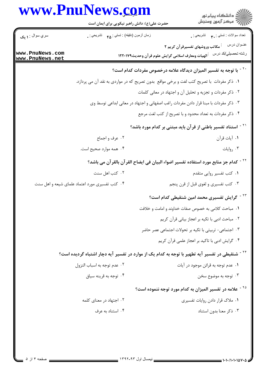## www.PnuNews.com

| زمان أزمون (دقيقه) : تستى : ۴۵ — تشريحي : .<br>تعداد سوالات : تستي : ٣ <b>. س</b> تشريحي : .<br>سري سوال : ۱ يک<br>عنــوان درس<br><sup>:</sup> مکاتب وروشهای تفسیرقرآن کریم ۲<br>رشته تحصيلي/كد درس<br>أالهيات ومعارف اسلامي گرايش علوم قرآن وحديث١٢٢٠١٧٩<br><sup>۲۰ -</sup> با توجه به تفسیر المیزان دیدگاه علامه درخصوص مفردات کدام است؟<br>۰۱ ذکر مفردات  با تصریح کتب لغت و برخی مواقع  بدون تصریح که در مواردی به نقد آن می پردازد.<br>۰۲ ذکر مفردات و تجزیه و تحلیل آن و اجتهاد در معانی کلمات<br>۰۳ ذکر مفردات با مبنا قرار دادن مفردات راغب اصفهانی و اجتهاد در معانی ابداعی توسط وی<br>۰۴ ذکر مفردات به تعداد محدود و با تصریح از کتب لغت مرجع<br><sup>۲۱ -</sup> استناد تفسیر باطنی از قرآن باید مبتنی بر کدام مورد باشد؟<br>۰۲ عرف و اجماع<br>٠١. آيات قرآن<br>۰۴ همه موارد صحیح است.<br>۰۳ روايات<br><sup>71 -</sup> كدام جز منابع مورد استفاده تفسير اضواء البيان في ايضاح القر آن بالقر آن مي باشد؟<br>۰۱ کتب تفسیر روایی متقدم<br>۰۲ کتب اهل سنت<br>۰۳ کتب تفسیری و لغوی قبل از قرن پنجم<br>۰۴ کتب تفسیری مورد اعتماد علمای شیعه و اهل سنت<br><sup>۲۳ -</sup> گرایش تفسیری محمد امین شنقیطی کدام است؟<br>٠١. مباحث كلامي به خصوص صفات خداوند و امامت و خلافت<br>٠٢ مباحث ادبي با تكيه بر اعجاز بياني قرآن كريم<br>۰۳ اجتماعی- تربیتی با تکیه بر تحولات اجتماعی عصر حاضر<br>۰۴ گرایش ادبی با تاکید بر اعجاز علمی قرآن کریم<br><sup>۲۴ -</sup> شنقیطی در تفسیر آیه تطهیر با توجه به کدام یک از موارد در تفسیر آیه دچار اشتباه گردیده است؟<br>۰۱ عدم توجه به قرائن موجود در آيات<br>۰۲ عدم توجه به اسباب النزول<br>۰۴ توجه به قرینه سیاق<br>توجه به موضوع سخن $\cdot$ ۳<br><sup>۲۵ -</sup> علامه در تفسیر المیزان به کدام مورد توجه ننموده است؟<br>۰۲ اجتهاد در معنای کلمه<br>۰۱ ملاک قرار دادن روایات تفسیری<br>۰۴ استناد به عرف<br>۰۳ ذکر معنا بدون استناد |                                    | www.PnuNews.com<br>حضرت علی(ع): دانش راهبر نیکویی برای ایمان است | ڪ دانشڪاه پيام نور<br>پ <sup>ر</sup> مرڪز آزمون وسنڊش |
|--------------------------------------------------------------------------------------------------------------------------------------------------------------------------------------------------------------------------------------------------------------------------------------------------------------------------------------------------------------------------------------------------------------------------------------------------------------------------------------------------------------------------------------------------------------------------------------------------------------------------------------------------------------------------------------------------------------------------------------------------------------------------------------------------------------------------------------------------------------------------------------------------------------------------------------------------------------------------------------------------------------------------------------------------------------------------------------------------------------------------------------------------------------------------------------------------------------------------------------------------------------------------------------------------------------------------------------------------------------------------------------------------------------------------------------------------------------------------------------------------------------------------------------------------------------------------------------------------------------------------------------------------------------------------------------------------------------------------------------------------------------------------|------------------------------------|------------------------------------------------------------------|-------------------------------------------------------|
|                                                                                                                                                                                                                                                                                                                                                                                                                                                                                                                                                                                                                                                                                                                                                                                                                                                                                                                                                                                                                                                                                                                                                                                                                                                                                                                                                                                                                                                                                                                                                                                                                                                                                                                                                                          |                                    |                                                                  |                                                       |
|                                                                                                                                                                                                                                                                                                                                                                                                                                                                                                                                                                                                                                                                                                                                                                                                                                                                                                                                                                                                                                                                                                                                                                                                                                                                                                                                                                                                                                                                                                                                                                                                                                                                                                                                                                          | www.PnuNews.com<br>www.PnuNews.net |                                                                  |                                                       |
|                                                                                                                                                                                                                                                                                                                                                                                                                                                                                                                                                                                                                                                                                                                                                                                                                                                                                                                                                                                                                                                                                                                                                                                                                                                                                                                                                                                                                                                                                                                                                                                                                                                                                                                                                                          |                                    |                                                                  |                                                       |
|                                                                                                                                                                                                                                                                                                                                                                                                                                                                                                                                                                                                                                                                                                                                                                                                                                                                                                                                                                                                                                                                                                                                                                                                                                                                                                                                                                                                                                                                                                                                                                                                                                                                                                                                                                          |                                    |                                                                  |                                                       |
|                                                                                                                                                                                                                                                                                                                                                                                                                                                                                                                                                                                                                                                                                                                                                                                                                                                                                                                                                                                                                                                                                                                                                                                                                                                                                                                                                                                                                                                                                                                                                                                                                                                                                                                                                                          |                                    |                                                                  |                                                       |
|                                                                                                                                                                                                                                                                                                                                                                                                                                                                                                                                                                                                                                                                                                                                                                                                                                                                                                                                                                                                                                                                                                                                                                                                                                                                                                                                                                                                                                                                                                                                                                                                                                                                                                                                                                          |                                    |                                                                  |                                                       |
|                                                                                                                                                                                                                                                                                                                                                                                                                                                                                                                                                                                                                                                                                                                                                                                                                                                                                                                                                                                                                                                                                                                                                                                                                                                                                                                                                                                                                                                                                                                                                                                                                                                                                                                                                                          |                                    |                                                                  |                                                       |
|                                                                                                                                                                                                                                                                                                                                                                                                                                                                                                                                                                                                                                                                                                                                                                                                                                                                                                                                                                                                                                                                                                                                                                                                                                                                                                                                                                                                                                                                                                                                                                                                                                                                                                                                                                          |                                    |                                                                  |                                                       |
|                                                                                                                                                                                                                                                                                                                                                                                                                                                                                                                                                                                                                                                                                                                                                                                                                                                                                                                                                                                                                                                                                                                                                                                                                                                                                                                                                                                                                                                                                                                                                                                                                                                                                                                                                                          |                                    |                                                                  |                                                       |
|                                                                                                                                                                                                                                                                                                                                                                                                                                                                                                                                                                                                                                                                                                                                                                                                                                                                                                                                                                                                                                                                                                                                                                                                                                                                                                                                                                                                                                                                                                                                                                                                                                                                                                                                                                          |                                    |                                                                  |                                                       |
|                                                                                                                                                                                                                                                                                                                                                                                                                                                                                                                                                                                                                                                                                                                                                                                                                                                                                                                                                                                                                                                                                                                                                                                                                                                                                                                                                                                                                                                                                                                                                                                                                                                                                                                                                                          |                                    |                                                                  |                                                       |
|                                                                                                                                                                                                                                                                                                                                                                                                                                                                                                                                                                                                                                                                                                                                                                                                                                                                                                                                                                                                                                                                                                                                                                                                                                                                                                                                                                                                                                                                                                                                                                                                                                                                                                                                                                          |                                    |                                                                  |                                                       |
|                                                                                                                                                                                                                                                                                                                                                                                                                                                                                                                                                                                                                                                                                                                                                                                                                                                                                                                                                                                                                                                                                                                                                                                                                                                                                                                                                                                                                                                                                                                                                                                                                                                                                                                                                                          |                                    |                                                                  |                                                       |
|                                                                                                                                                                                                                                                                                                                                                                                                                                                                                                                                                                                                                                                                                                                                                                                                                                                                                                                                                                                                                                                                                                                                                                                                                                                                                                                                                                                                                                                                                                                                                                                                                                                                                                                                                                          |                                    |                                                                  |                                                       |
|                                                                                                                                                                                                                                                                                                                                                                                                                                                                                                                                                                                                                                                                                                                                                                                                                                                                                                                                                                                                                                                                                                                                                                                                                                                                                                                                                                                                                                                                                                                                                                                                                                                                                                                                                                          |                                    |                                                                  |                                                       |
|                                                                                                                                                                                                                                                                                                                                                                                                                                                                                                                                                                                                                                                                                                                                                                                                                                                                                                                                                                                                                                                                                                                                                                                                                                                                                                                                                                                                                                                                                                                                                                                                                                                                                                                                                                          |                                    |                                                                  |                                                       |
|                                                                                                                                                                                                                                                                                                                                                                                                                                                                                                                                                                                                                                                                                                                                                                                                                                                                                                                                                                                                                                                                                                                                                                                                                                                                                                                                                                                                                                                                                                                                                                                                                                                                                                                                                                          |                                    |                                                                  |                                                       |
|                                                                                                                                                                                                                                                                                                                                                                                                                                                                                                                                                                                                                                                                                                                                                                                                                                                                                                                                                                                                                                                                                                                                                                                                                                                                                                                                                                                                                                                                                                                                                                                                                                                                                                                                                                          |                                    |                                                                  |                                                       |
|                                                                                                                                                                                                                                                                                                                                                                                                                                                                                                                                                                                                                                                                                                                                                                                                                                                                                                                                                                                                                                                                                                                                                                                                                                                                                                                                                                                                                                                                                                                                                                                                                                                                                                                                                                          |                                    |                                                                  |                                                       |
|                                                                                                                                                                                                                                                                                                                                                                                                                                                                                                                                                                                                                                                                                                                                                                                                                                                                                                                                                                                                                                                                                                                                                                                                                                                                                                                                                                                                                                                                                                                                                                                                                                                                                                                                                                          |                                    |                                                                  |                                                       |
|                                                                                                                                                                                                                                                                                                                                                                                                                                                                                                                                                                                                                                                                                                                                                                                                                                                                                                                                                                                                                                                                                                                                                                                                                                                                                                                                                                                                                                                                                                                                                                                                                                                                                                                                                                          |                                    |                                                                  |                                                       |
|                                                                                                                                                                                                                                                                                                                                                                                                                                                                                                                                                                                                                                                                                                                                                                                                                                                                                                                                                                                                                                                                                                                                                                                                                                                                                                                                                                                                                                                                                                                                                                                                                                                                                                                                                                          |                                    |                                                                  |                                                       |
|                                                                                                                                                                                                                                                                                                                                                                                                                                                                                                                                                                                                                                                                                                                                                                                                                                                                                                                                                                                                                                                                                                                                                                                                                                                                                                                                                                                                                                                                                                                                                                                                                                                                                                                                                                          |                                    |                                                                  |                                                       |
|                                                                                                                                                                                                                                                                                                                                                                                                                                                                                                                                                                                                                                                                                                                                                                                                                                                                                                                                                                                                                                                                                                                                                                                                                                                                                                                                                                                                                                                                                                                                                                                                                                                                                                                                                                          |                                    |                                                                  |                                                       |